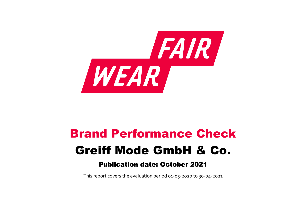

# Brand Performance Check Greiff Mode GmbH & Co.

## Publication date: October 2021

This report covers the evaluation period 01‐05‐2020 to 30‐04‐2021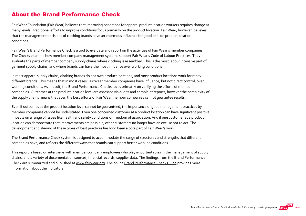#### About the Brand Performance Check

Fair Wear Foundation (Fair Wear) believes that improving conditions for apparel product location workers requires change at many levels. Traditional efforts to improve conditions focus primarily on the product location. Fair Wear, however, believes that the management decisions of clothing brands have an enormous influence for good or ill on product location conditions.

Fair Wear's Brand Performance Check is a tool to evaluate and report on the activities of Fair Wear's member companies. The Checks examine how member company management systems support Fair Wear's Code of Labour Practices. They evaluate the parts of member company supply chains where clothing is assembled. This is the most labour intensive part of garment supply chains, and where brands can have the most influence over working conditions.

In most apparel supply chains, clothing brands do not own product locations, and most product locations work for many different brands. This means that in most cases Fair Wear member companies have influence, but not direct control, over working conditions. As a result, the Brand Performance Checks focus primarily on verifying the efforts of member companies. Outcomes at the product location level are assessed via audits and complaint reports, however the complexity of the supply chains means that even the best efforts of Fair Wear member companies cannot guarantee results.

Even if outcomes at the product location level cannot be guaranteed, the importance of good management practices by member companies cannot be understated. Even one concerned customer at a product location can have significant positive impacts on a range of issues like health and safety conditions or freedom of association. And if one customer at a product location can demonstrate that improvements are possible, other customers no longer have an excuse not to act. The development and sharing of these types of best practices has long been a core part of Fair Wear's work.

The Brand Performance Check system is designed to accommodate the range of structures and strengths that different companies have, and reflects the different ways that brands can support better working conditions.

This report is based on interviews with member company employees who play important roles in the management of supply chains, and a variety of documentation sources, financial records, supplier data. The findings from the Brand Performance Check are summarized and published at [www.fairwear.org](http://www.fairwear.org/). The online [Brand Performance Check Guide](https://api.fairwear.org/wp-content/uploads/2020/03/FWF_BrandPerformanceCheckGuide-DEF.pdf) provides more information about the indicators.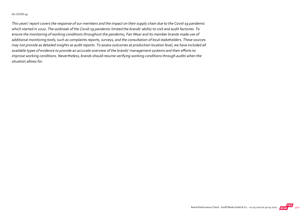#### On COVID‐19

This years' report covers the response of our members and the impact on their supply chain due to the Covid‐19 pandemic which started in 2020. The outbreak of the Covid‐19 pandemic limited the brands' ability to visit and audit factories. To ensure the monitoring of working conditions throughout the pandemic, Fair Wear and its member brands made use of additional monitoring tools, such as complaints reports, surveys, and the consultation of local stakeholders. These sources may not provide as detailed insights as audit reports. To assess outcomes at production location level, we have included all available types of evidence to provide an accurate overview of the brands' management systems and their efforts to improve working conditions. Nevertheless, brands should resume verifying working conditions through audits when the situation allows for.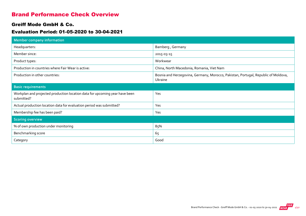#### Brand Performance Check Overview

#### Greiff Mode GmbH & Co.

#### Evaluation Period: 01-05-2020 to 30-04-2021

| <b>Member company information</b>                                                         |                                                                                               |
|-------------------------------------------------------------------------------------------|-----------------------------------------------------------------------------------------------|
| Headquarters:                                                                             | Bamberg, Germany                                                                              |
| Member since:                                                                             | 2015-03-15                                                                                    |
| Product types:                                                                            | Workwear                                                                                      |
| Production in countries where Fair Wear is active:                                        | China, North Macedonia, Romania, Viet Nam                                                     |
| Production in other countries:                                                            | Bosnia and Herzegovina, Germany, Morocco, Pakistan, Portugal, Republic of Moldova,<br>Ukraine |
| <b>Basic requirements</b>                                                                 |                                                                                               |
| Workplan and projected production location data for upcoming year have been<br>submitted? | Yes                                                                                           |
| Actual production location data for evaluation period was submitted?                      | Yes                                                                                           |
| Membership fee has been paid?                                                             | Yes                                                                                           |
| <b>Scoring overview</b>                                                                   |                                                                                               |
| % of own production under monitoring                                                      | 85%                                                                                           |
| Benchmarking score                                                                        | 65                                                                                            |
| Category                                                                                  | Good                                                                                          |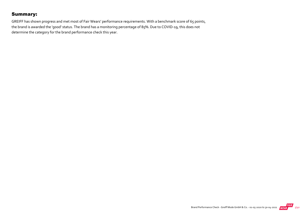#### Summary:

GREIFF has shown progress and met most of Fair Wears' performance requirements. With a benchmark score of 65 points, the brand is awarded the 'good' status. The brand has a monitoring percentage of 85%. Due to COVID‐19, this does not determine the category for the brand performance check this year.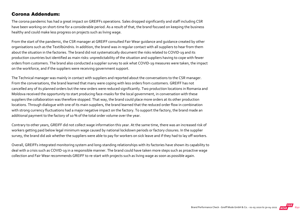#### Corona Addendum:

The corona pandemic has had a great impact on GREIFFs operations. Sales dropped significantly and staff including CSR have been working on short-time for a considerable period. As a result of that, the brand focused on keeping the business healthy and could make less progress on projects such as living wage.

From the start of the pandemic, the CSR manager at GREIFF consulted Fair Wear guidance and guidance created by other organisations such as the Textilbündnis. In addition, the brand was in regular contact with all suppliers to hear from them about the situation in the factories. The brand did not systematically document the risks related to COVID‐19 and its production countries but identified as main risks: unpredictability of the situation and suppliers having to cope with fewer orders from customers. The brand also conducted a supplier survey to ask what COVID‐19 measures were taken, the impact on the workforce, and if the suppliers were receiving government support.

The Technical manager was mainly in contact with suppliers and reported about the conversations to the CSR manager. From the conversations, the brand learned that many were coping with less orders from customers. GREIFF has not cancelled any of its planned orders but the new orders were reduced significantly. Two production locations in Romania and Moldova received the opportunity to start producing face-masks for the local government, in conversation with these suppliers the collaboration was therefore stopped. That way, the brand could place more orders at its other production locations. Through dialogue with one of its main suppliers, the brand learned that the reduced order flow in combination with strong currency fluctuations had a major negative impact on the factory. To support the factory, the brand made an additional payment to the factory of 10 % of the total order volume over the year.

Contrary to other years, GREIFF did not collect wage information this year. At the same time, there was an increased risk of workers getting paid below legal minimum wage caused by national lockdown periods or factory closures. In the supplier survey, the brand did ask whether the suppliers were able to pay for workers on sick leave and if they had to lay off workers.

Overall, GREIFFs integrated monitoring system and long‐standing relationships with its factories have shown its capability to deal with a crisis such as COVID‐19 in a responsible manner. The brand could have taken more steps such as proactive wage collection and Fair Wear recommends GREIFF to re‐start with projects such as living wage as soon as possible again.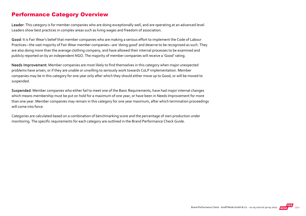#### Performance Category Overview

Leader: This category is for member companies who are doing exceptionally well, and are operating at an advanced level. Leaders show best practices in complex areas such as living wages and freedom of association.

Good: It is Fair Wear's belief that member companies who are making a serious effort to implement the Code of Labour Practices—the vast majority of Fair Wear member companies—are 'doing good' and deserve to be recognized as such. They are also doing more than the average clothing company, and have allowed their internal processes to be examined and publicly reported on by an independent NGO. The majority of member companies will receive a 'Good' rating.

Needs Improvement: Member companies are most likely to find themselves in this category when major unexpected problems have arisen, or if they are unable or unwilling to seriously work towards CoLP implementation. Member companies may be in this category for one year only after which they should either move up to Good, or will be moved to suspended.

Suspended: Member companies who either fail to meet one of the Basic Requirements, have had major internal changes which means membership must be put on hold for a maximum of one year, or have been in Needs Improvement for more than one year. Member companies may remain in this category for one year maximum, after which termination proceedings will come into force.

Categories are calculated based on a combination of benchmarking score and the percentage of own production under monitoring. The specific requirements for each category are outlined in the Brand Performance Check Guide.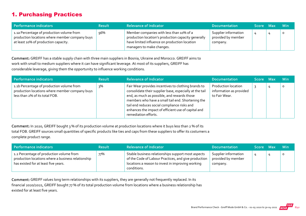#### 1. Purchasing Practices

| Performance indicators                                                                                                              | <b>Result</b> | <b>Relevance of Indicator</b>                                                                                                                                                 | <b>Documentation</b>                                   | Score Max | <b>Min</b> |
|-------------------------------------------------------------------------------------------------------------------------------------|---------------|-------------------------------------------------------------------------------------------------------------------------------------------------------------------------------|--------------------------------------------------------|-----------|------------|
| 1.1a Percentage of production volume from<br>production locations where member company buys<br>at least 10% of production capacity. | 96%           | Member companies with less than 10% of a<br>production location's production capacity generally<br>have limited influence on production location<br>managers to make changes. | Supplier information<br>provided by member<br>company. |           | $\circ$    |

Comment: GREIFF has a stable supply chain with three main suppliers in Bosnia, Ukraine and Morocco. GREIFF aims to work with small to medium suppliers where it can have significant leverage. At most of its suppliers, GREIFF has considerable leverage, giving them the opportunity to influence working conditions.

| Performance indicators                                                                                                        | <b>Result</b> | <b>Relevance of Indicator</b>                                                                                                                                                                                                                                                                                                                     | <b>Documentation</b>                                            | Score Max | <b>Min</b> |
|-------------------------------------------------------------------------------------------------------------------------------|---------------|---------------------------------------------------------------------------------------------------------------------------------------------------------------------------------------------------------------------------------------------------------------------------------------------------------------------------------------------------|-----------------------------------------------------------------|-----------|------------|
| 1.1b Percentage of production volume from<br>production locations where member company buys<br>less than 2% of its total FOB. | २%            | Fair Wear provides incentives to clothing brands to<br>consolidate their supplier base, especially at the tail<br>end, as much as possible, and rewards those<br>members who have a small tail end. Shortening the<br>tail end reduces social compliance risks and<br>enhances the impact of efficient use of capital and<br>remediation efforts. | Production location<br>information as provided<br>to Fair Wear. |           | $\circ$    |

Comment: In 2020, GREIFF bought 3 % of its production volume at production locations where it buys less than 2 % of its total FOB. GREIFF sources small quantities of specific products like ties and caps from these suppliers to offer its costumers a complete product range.

| Performance indicators                                                                                                                 | <b>Result</b> | <b>Relevance of Indicator</b>                                                                                                                                                  | <b>Documentation</b>                                   | Score Max | <b>Min</b> |
|----------------------------------------------------------------------------------------------------------------------------------------|---------------|--------------------------------------------------------------------------------------------------------------------------------------------------------------------------------|--------------------------------------------------------|-----------|------------|
| 1.2 Percentage of production volume from<br>production locations where a business relationship<br>has existed for at least five years. | 77%           | Stable business relationships support most aspects<br>of the Code of Labour Practices, and give production<br>locations a reason to invest in improving working<br>conditions. | Supplier information<br>provided by member<br>company. |           | 0          |

Comment: GREIFF values long term relationships with its suppliers, they are generally not frequently replaced. In its financial 2020/2021, GREIFF bought 77 % of its total production volume from locations where a business relationship has existed for at least five years.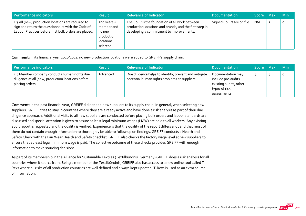| Performance indicators                                                                                                                                            | <b>Result</b>                                                              | <b>Relevance of Indicator</b>                                                                                                                        | <b>Documentation</b>      | I Score Max' |              | <b>Min</b> |
|-------------------------------------------------------------------------------------------------------------------------------------------------------------------|----------------------------------------------------------------------------|------------------------------------------------------------------------------------------------------------------------------------------------------|---------------------------|--------------|--------------|------------|
| 1.3 All (new) production locations are required to<br>sign and return the questionnaire with the Code of<br>Labour Practices before first bulk orders are placed. | 2nd years +<br>member and<br>no new<br>production<br>locations<br>selected | The CoLP is the foundation of all work between<br>production locations and brands, and the first step in<br>developing a commitment to improvements. | Signed CoLPs are on file. | N/A          | $\mathbf{2}$ | $\circ$    |

Comment: In its financial year 2020/2021, no new production locations were added to GREIFF's supply chain.

| Performance indicators                                                                                                | <b>Result</b> | <b>Relevance of Indicator</b>                                                                          | <b>Documentation</b>                                                                                | Score Max | <b>Min</b> |
|-----------------------------------------------------------------------------------------------------------------------|---------------|--------------------------------------------------------------------------------------------------------|-----------------------------------------------------------------------------------------------------|-----------|------------|
| 1.4 Member company conducts human rights due<br>diligence at all (new) production locations before<br>placing orders. | Advanced      | Due diligence helps to identify, prevent and mitigate<br>potential human rights problems at suppliers. | Documentation may<br>include pre-audits,<br>existing audits, other<br>types of risk<br>assessments. |           | $\circ$    |

Comment: In the past financial year, GREIFF did not add new suppliers to its supply chain. In general, when selecting new suppliers, GREIFF tries to stay in countries where they are already active and have done a risk analysis as part of their due diligence approach. Additional visits to all new suppliers are conducted before placing bulk orders and labour standards are discussed and special attention is given to assure at least legal minimum wages (LMW) are paid to all workers. Any existing audit report is requested and the quality is verified. Experience is that the quality of the report differs a lot and that most of them do not contain enough information to thoroughly be able to follow up on findings. GREIFF conducts a Health and Safety Check with the Fair Wear Health and Safety checklist. GREIFF also checks the factory wage level at new suppliers to ensure that at least legal minimum wage is paid. The collective outcome of these checks provides GREIFF with enough information to make sourcing decisions.

As part of its membership in the Alliance for Sustainable Textiles (Textilbündnis, Germany) GREIFF does a risk analysis for all countries where it sourcs from. Being a member of the Textilbündnis, GREIFF also has access to a new online tool called T‐ Rexs where all risks of all production countries are well defined and always kept updated. T‐Rexs is used as an extra source of information.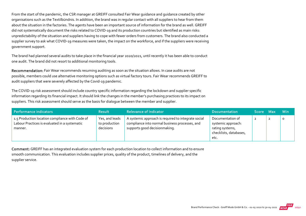From the start of the pandemic, the CSR manager at GREIFF consulted Fair Wear guidance and guidance created by other organisations such as the Textilbündnis. In addition, the brand was in regular contact with all suppliers to hear from them about the situation in the factories. The agents have been an important source of information for the brand as well. GREIFF did not systematically document the risks related to COVID‐19 and its production countries but identified as main risks: unpredictability of the situation and suppliers having to cope with fewer orders from customers. The brand also conducted a supplier survey to ask what COVID‐19 measures were taken, the impact on the workforce, and if the suppliers were receiving government support.

The brand had planned several audits to take place in the financial year 2020/2021, until recently it has been able to conduct one audit. The brand did not resort to additional monitoring tools.

Recommendation: Fair Wear recommends resuming auditing as soon as the situation allows. In case audits are not possible, members could use alternative monitoring options such as virtual factory tours. Fair Wear recommends GREIFF to audit suppliers that were severely affected by the Covid‐19 pandemic.

The COVID‐19 risk assessment should include country specific information regarding the lockdown and supplier specific information regarding its financial impact. It should link the changes in the member's purchasing practices to its impact on suppliers. This risk assessment should serve as the basis for dialogue between the member and supplier.

| Performance indicators                                                                                      | <b>Result</b>                                | <b>Relevance of Indicator</b>                                                                                                          | <b>Documentation</b>                                                                        | Score Max | <b>Min</b> |
|-------------------------------------------------------------------------------------------------------------|----------------------------------------------|----------------------------------------------------------------------------------------------------------------------------------------|---------------------------------------------------------------------------------------------|-----------|------------|
| 1.5 Production location compliance with Code of<br>Labour Practices is evaluated in a systematic<br>manner. | Yes, and leads<br>to production<br>decisions | A systemic approach is required to integrate social<br>compliance into normal business processes, and<br>supports good decisionmaking. | Documentation of<br>systemic approach:<br>rating systems,<br>checklists, databases,<br>etc. | ∠         | 0          |

Comment: GREIFF has an integrated evaluation system for each production location to collect information and to ensure smooth communication. This evaluation includes supplier prices, quality of the product, timelines of delivery, and the supplier service.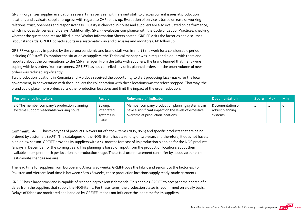GREIFF organizes supplier evaluations several times per year with relevant staff to discuss current issues at production locations and evaluate supplier progress with regard to CAP follow up. Evaluation of service is based on ease of working relations, trust, openness and responsiveness. Quality is checked in‐house and suppliers are also evaluated on performance, which includes deliveries and delays. Additionally, GREIFF evaluates compliance with the Code of Labour Practices, checking whether the questionnaires are filled in, the Worker Information Sheets posted. GREIFF visits the factories and discusses labour standards. GREIFF collects audits in a systematic way and discusses and monitors CAP follow up.

GREIFF was greatly impacted by the corona pandemic and brand staff was in short time work for a considerable period including CSR staff. To monitor the situation at suppliers, the Technical manager was in regular dialogue with them and reported about the conversations to the CSR manager. From the talks with suppliers, the brand learned that many were coping with less orders from customers. GREIFF has not cancelled any of its planned orders but the order volume of new orders was reduced significantly.

Two production locations in Romania and Moldova received the opportunity to start producing face‐masks for the local government, in conversation with the suppliers the collaboration with these locations was therefore stopped. That way, the brand could place more orders at its other production locations and limit the impact of the order reduction.

| Performance indicators                                                                    | <b>Result</b>                                 | <b>Relevance of Indicator</b>                                                                                                               | <b>Documentation</b>                            | Score Max | <b>Min</b> |
|-------------------------------------------------------------------------------------------|-----------------------------------------------|---------------------------------------------------------------------------------------------------------------------------------------------|-------------------------------------------------|-----------|------------|
| 1.6 The member company's production planning<br>systems support reasonable working hours. | Strong,<br>integrated<br>systems in<br>place. | Member company production planning systems can<br>have a significant impact on the levels of excessive<br>overtime at production locations. | Documentation of<br>robust planning<br>systems. | 4         |            |

Comment: GREIFF has two types of products: Never Out of Stock‐items (NOS, 80%) and specific products that are being ordered by customers (20%). The catalogues of the NOS‐ items have a validity of two years and therefore, it does not have a high or low season. GREIFF provides its suppliers with a 12-months forecast of its production planning for the NOS products (always in December for the coming year). This planning is based on input from the production locations about their available hours per month per location per production stage. The actual order placement can differ by about 20 per cent. Last‐minute changes are rare.

The lead time for suppliers from Europe and Africa is 10 weeks. GREIFF buys the fabric and sends it to the factories. For Pakistan and Vietnam lead time is between 16 to 26 weeks, these production locations supply ready‐made garments.

GREIFF has a large stock and is capable of responding to clients' demands. This enables GREIFF to accept some degree of a delay from the suppliers that supply the NOS-items. For these items, the production status is reconfirmed on a daily basis. Delays of fabric are monitored and handled by GREIFF. It does not influence the lead time for its suppliers.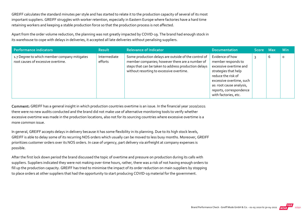GREIFF calculates the standard minutes per style and has started to relate it to the production capacity of several of its most important suppliers. GREIFF struggles with worker retention, especially in Eastern Europe where factories have a hard time retaining workers and keeping a stable production force so that the production process is not affected.

Apart from the order volume reduction, the planning was not greatly impacted by COVID‐19. The brand had enough stock in its warehouse to cope with delays in deliveries, it accepted all late deliveries without penalising suppliers.

| <b>Performance indicators</b>                                                      | <b>Result</b>           | <b>Relevance of Indicator</b>                                                                                                                                                                               | <b>Documentation</b>                                                                                                                                                                                                     | Score Max |   | <b>Min</b> |
|------------------------------------------------------------------------------------|-------------------------|-------------------------------------------------------------------------------------------------------------------------------------------------------------------------------------------------------------|--------------------------------------------------------------------------------------------------------------------------------------------------------------------------------------------------------------------------|-----------|---|------------|
| 1.7 Degree to which member company mitigates<br>root causes of excessive overtime. | Intermediate<br>efforts | Some production delays are outside of the control of<br>member companies; however there are a number of<br>steps that can be taken to address production delays<br>without resorting to excessive overtime. | Evidence of how<br>member responds to<br>excessive overtime and<br>strategies that help<br>reduce the risk of<br>excessive overtime, such<br>as: root cause analysis,<br>reports, correspondence<br>with factories, etc. |           | 6 | $\circ$    |

Comment: GREIFF has a general insight in which production countries overtime is an issue. In the financial year 2020/2021 there were no new audits conducted and the brand did not make use of alternative monitoring tools to verify whether excessive overtime was made in the production locations, also not for its sourcing countries where excessive overtime is a more common issue.

In general, GREIFF accepts delays in delivery because it has some flexibility in its planning. Due to its high stock levels, GREIFF is able to delay some of its recurring NOS orders which usually can be moved to less busy months. Moreover, GREIFF prioritizes customer orders over its NOS orders. In case of urgency, part delivery via airfreight at company expenses is possible.

After the first lock down period the brand discussed the topic of overtime and pressure on production during its calls with suppliers. Suppliers indicated they were not making over-time hours, rather, there was a risk of not having enough orders to fill up the production capacity. GREIFF has tried to minimise the impact of its order reduction on main suppliers by stopping to place orders at other suppliers that had the opportunity to start producing COVID-19 material for the government.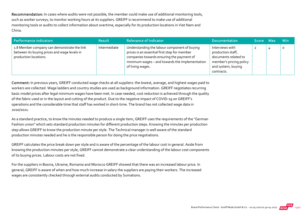Recommendation: In cases where audits were not possible, the member could make use of additional monitoring tools, such as worker surveys, to monitor working hours at its suppliers. GREIFF is recommend to make use of additional monitoring tools or audits to collect information about overtime, especially for its production locations in Viet Nam and China.

| Performance indicators                                                                                               | <b>Result</b> | <b>Relevance of Indicator</b>                                                                                                                                                                                   | <b>Documentation</b>                                                                                                        | Score Max |                | – Min |
|----------------------------------------------------------------------------------------------------------------------|---------------|-----------------------------------------------------------------------------------------------------------------------------------------------------------------------------------------------------------------|-----------------------------------------------------------------------------------------------------------------------------|-----------|----------------|-------|
| 1.8 Member company can demonstrate the link<br>between its buying prices and wage levels in<br>production locations. | Intermediate  | Understanding the labour component of buying<br>prices is an essential first step for member<br>companies towards ensuring the payment of<br>minimum wages - and towards the implementation<br>of living wages. | Interviews with<br>production staff,<br>documents related to<br>member's pricing policy<br>and system, buying<br>contracts. |           | $\overline{4}$ | C     |

Comment: In previous years, GREIFF conducted wage checks at all suppliers: the lowest, average, and highest wages paid to workers are collected. Wage ladders and country studies are used as background information. GREIFF negotiates recurring basic model prices after legal minimum wages have been met. In case needed, cost reduction is achieved through the quality of the fabric used or in the layout and cutting of the product. Due to the negative impact of COVID‐19 on GREIFF's operations and the considerable time that staff has worked in short‐time. The brand has not collected wage data in 2020/2021.

As a standard practice, to know the minutes needed to produce a single item, GREIFF uses the requirements of the "German Fashion union" which sets standard production minutes for different production steps. Knowing the minutes per production step allows GREIFF to know the production minute per style. The Technical manager is well aware of the standard production minutes needed and he is the responsible person for doing the price negotiations.

GREIFF calculates the price break down per style and is aware of the percentage of the labour cost in general. Aside from knowing the production minutes per style, GREIFF cannot demonstrate a clear understanding of the labour cost components of its buying prices. Labour costs are not fixed.

For the suppliers in Bosnia, Ukraine, Romania and Morocco GREIFF showed that there was an increased labour price. In general, GREIFF is aware of when and how much increase in salary the suppliers are paying their workers. The increased wages are consistently checked through external audits conducted by Sumations.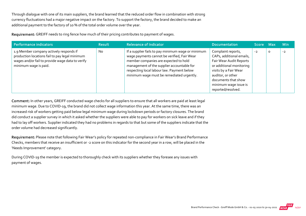Through dialogue with one of its main suppliers, the brand learned that the reduced order flow in combination with strong currency fluctuations had a major negative impact on the factory. To support the factory, the brand decided to make an additional payment to the factory of 10 % of the total order volume over the year.

Requirement: GREIFF needs to ring fence how much of their pricing contributes to payment of wages.

| Performance indicators b                                                                                                                                               | <b>Result</b> | <b>Relevance of Indicator</b>                                                                                                                                                                                                                                                       | <b>Documentation</b>                                                                                                                                                                                                      | 'Score Maxi |         | <b>Min</b> |
|------------------------------------------------------------------------------------------------------------------------------------------------------------------------|---------------|-------------------------------------------------------------------------------------------------------------------------------------------------------------------------------------------------------------------------------------------------------------------------------------|---------------------------------------------------------------------------------------------------------------------------------------------------------------------------------------------------------------------------|-------------|---------|------------|
| 1.9 Member company actively responds if<br>production locations fail to pay legal minimum<br>wages and/or fail to provide wage data to verify<br>minimum wage is paid. | <b>No</b>     | If a supplier fails to pay minimum wage or minimum<br>wage payments cannot be verified, Fair Wear<br>member companies are expected to hold<br>management of the supplier accountable for<br>respecting local labour law. Payment below<br>minimum wage must be remediated urgently. | Complaint reports,<br>CAPs, additional emails,<br>Fair Wear Audit Reports<br>or additional monitoring<br>visits by a Fair Wear<br>auditor, or other<br>documents that show<br>minimum wage issue is<br>reported/resolved. | $-2$        | $\circ$ | $-2$       |

Comment: In other years, GREIFF conducted wage checks for all suppliers to ensure that all workers are paid at least legal minimum wage. Due to COVID‐19, the brand did not collect wage information this year. At the same time, there was an increased risk of workers getting paid below legal minimum wage during lockdown periods or factory closures. The brand did conduct a supplier survey in which it asked whether the suppliers were able to pay for workers on sick leave and if they had to lay off workers. Supplier indicated they had no problems in regards to that but some of the suppliers indicate that the order volume had decreased significantly.

Requirement: Please note that following Fair Wear's policy for repeated non-compliance in Fair Wear's Brand Performance Checks, members that receive an insufficient or ‐2 score on this indicator for the second year in a row, will be placed in the 'Needs Improvement' category.

During COVID‐19 the member is expected to thoroughly check with its suppliers whether they foresee any issues with payment of wages.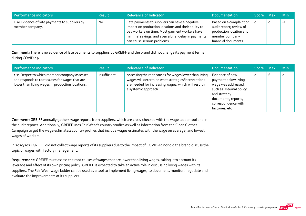| Performance indicators                                            | <b>Result</b> | <b>Relevance of Indicator</b>                                                                                                                                                                                                                 | <b>Documentation</b>                                                                                                    | Score Max | <b>Min</b> |
|-------------------------------------------------------------------|---------------|-----------------------------------------------------------------------------------------------------------------------------------------------------------------------------------------------------------------------------------------------|-------------------------------------------------------------------------------------------------------------------------|-----------|------------|
| 1.10 Evidence of late payments to suppliers by<br>member company. | <b>No</b>     | Late payments to suppliers can have a negative<br>impact on production locations and their ability to<br>pay workers on time. Most garment workers have<br>minimal savings, and even a brief delay in payments<br>can cause serious problems. | Based on a complaint or<br>audit report; review of<br>production location and<br>member company<br>financial documents. |           | $-1$       |

Comment: There is no evidence of late payments to suppliers by GREIFF and the brand did not change its payment terms during COVID‐19.

| Performance indicators                                                                                                                             | <b>Result</b> | <b>Relevance of Indicator</b>                                                                                                                                                               | <b>Documentation</b>                                                                                                                                                       | <b>Score Max</b> ' |   | <b>Min</b> |
|----------------------------------------------------------------------------------------------------------------------------------------------------|---------------|---------------------------------------------------------------------------------------------------------------------------------------------------------------------------------------------|----------------------------------------------------------------------------------------------------------------------------------------------------------------------------|--------------------|---|------------|
| 1.11 Degree to which member company assesses<br>and responds to root causes for wages that are<br>lower than living wages in production locations. | Insufficient  | Assessing the root causes for wages lower than living<br>wages will determine what strategies/interventions<br>are needed for increasing wages, which will result in<br>a systemic approach | Evidence of how<br>payment below living<br>wage was addressed,<br>such as: Internal policy<br>and strategy<br>documents, reports,<br>correspondence with<br>factories, etc | $\circ$            | b | $\circ$    |

Comment: GREIFF annually gathers wage reports from suppliers, which are cross-checked with the wage ladder tool and in the audit reports. Additionally, GREIFF uses Fair Wear's country studies as well as information from the Clean Clothes Campaign to get the wage estimates; country profiles that include wages estimates with the wage on average, and lowest wages of workers.

In 2020/2021 GREIFF did not collect wage reports of its suppliers due to the impact of COVID-19 nor did the brand discuss the topic of wages with factory management.

Requirement: GREIFF must assess the root causes of wages that are lower than living wages, taking into account its leverage and effect of its own pricing policy. GREIFF is expected to take an active role in discussing living wages with its suppliers. The Fair Wear wage ladder can be used as a tool to implement living wages, to document, monitor, negotiate and evaluate the improvements at its suppliers.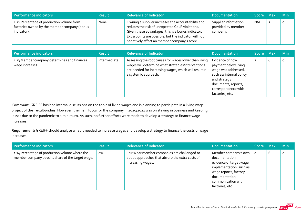| Performance indicators                                                                                   | <b>Result</b> | <b>Relevance of Indicator</b>                                                                                                                                                                                                                                        | <b>Documentation</b>                                   | Score Max | <b>Min</b> |
|----------------------------------------------------------------------------------------------------------|---------------|----------------------------------------------------------------------------------------------------------------------------------------------------------------------------------------------------------------------------------------------------------------------|--------------------------------------------------------|-----------|------------|
| 1.12 Percentage of production volume from<br>factories owned by the member company (bonus<br>indicator). | None          | Owning a supplier increases the accountability and<br>reduces the risk of unexpected CoLP violations.<br>Given these advantages, this is a bonus indicator.<br>Extra points are possible, but the indicator will not<br>negatively affect an member company's score. | Supplier information<br>provided by member<br>company. | N/A       |            |

| <b>Performance indicators</b>                                  | <b>Result</b> | <b>Relevance of Indicator</b>                                                                                                                                                                | <b>Documentation</b>                                                                                                                                                        | Score Maxi     |   | <b>Min</b> |
|----------------------------------------------------------------|---------------|----------------------------------------------------------------------------------------------------------------------------------------------------------------------------------------------|-----------------------------------------------------------------------------------------------------------------------------------------------------------------------------|----------------|---|------------|
| 1.13 Member company determines and finances<br>wage increases. | Intermediate  | Assessing the root causes for wages lower than living<br>wages will determine what strategies/interventions<br>are needed for increasing wages, which will result in<br>a systemic approach. | Evidence of how<br>payment below living<br>wage was addressed,<br>such as: internal policy<br>and strategy<br>documents, reports,<br>correspondence with<br>factories, etc. | $\overline{2}$ | 6 | O          |

Comment: GREIFF has had internal discussions on the topic of living wages and is planning to participate in a living wage project of the Textilbündnis. However, the main focus for the company in 2020/2021 was on staying in business and keeping losses due to the pandemic to a minimum. As such, no further efforts were made to develop a strategy to finance wage increases.

Requirement: GREIFF should analyse what is needed to increase wages and develop a strategy to finance the costs of wage increases.

| <b>Performance indicators</b>                                                                       | <b>Result</b> | <b>Relevance of Indicator</b>                                                                                        | <b>Documentation</b>                                                                                                                                                             | Score Max |   | <b>Min</b> |
|-----------------------------------------------------------------------------------------------------|---------------|----------------------------------------------------------------------------------------------------------------------|----------------------------------------------------------------------------------------------------------------------------------------------------------------------------------|-----------|---|------------|
| 1.14 Percentage of production volume where the<br>member company pays its share of the target wage. | о%            | Fair Wear member companies are challenged to<br>adopt approaches that absorb the extra costs of<br>increasing wages. | Member company's own<br>documentation,<br>evidence of target wage<br>implementation, such as<br>wage reports, factory<br>documentation,<br>communication with<br>factories, etc. |           | b | $\circ$    |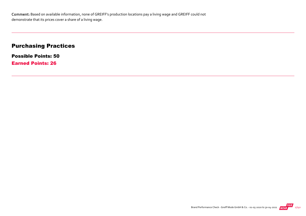Comment: Based on available information, none of GREIFF's production locations pay a living wage and GREIFF could not demonstrate that its prices cover a share of a living wage.

#### Purchasing Practices

Possible Points: 50 Earned Points: 26

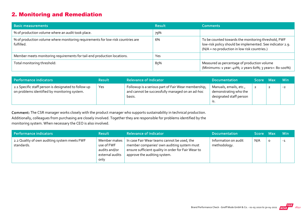#### 2. Monitoring and Remediation

| <b>Basic measurements</b>                                                                     | <b>Result</b> | <b>Comments</b>                                                                                                                                                  |
|-----------------------------------------------------------------------------------------------|---------------|------------------------------------------------------------------------------------------------------------------------------------------------------------------|
| % of production volume where an audit took place.                                             | 79%           |                                                                                                                                                                  |
| % of production volume where monitoring requirements for low-risk countries are<br>fulfilled. | 6%            | To be counted towards the monitoring threshold, FWF<br>low-risk policy should be implemented. See indicator 2.9.<br>(N/A = no production in low risk countries.) |
| Member meets monitoring requirements for tail-end production locations.                       | Yes           |                                                                                                                                                                  |
| Total monitoring threshold:                                                                   | 85%           | Measured as percentage of production volume<br>(Minimums: 1 year: 40%; 2 years 60%; 3 years+: 80-100%)                                                           |

| Performance indicators                                                                               | <b>Result</b> | <b>Relevance of Indicator</b>                                                                                    | <b>Documentation</b>                                                              | Score Max | <b>Min</b> |
|------------------------------------------------------------------------------------------------------|---------------|------------------------------------------------------------------------------------------------------------------|-----------------------------------------------------------------------------------|-----------|------------|
| 2.1 Specific staff person is designated to follow up<br>on problems identified by monitoring system. | Yes           | Followup is a serious part of Fair Wear membership,<br>and cannot be successfully managed on an ad-hoc<br>basis. | Manuals, emails, etc.,<br>demonstrating who the<br>designated staff person<br>15. | 2         | $-2$       |

Comment: The CSR manager works closely with the product manager who supports sustainability in technical production. Additionally, colleagues from purchasing are closely involved. Together they are responsible for problems identified by the monitoring system. When necessary the CEO is also involved.

| Performance indicators                                     | <b>Result</b>                                                          | <b>Relevance of Indicator</b>                                                                                                                                                    | <b>Documentation</b>                 | Score Max |          | <b>Min</b> |
|------------------------------------------------------------|------------------------------------------------------------------------|----------------------------------------------------------------------------------------------------------------------------------------------------------------------------------|--------------------------------------|-----------|----------|------------|
| 2.2 Quality of own auditing system meets FWF<br>standards. | Member makes<br>use of FWF<br>audits and/or<br>external audits<br>only | In case Fair Wear teams cannot be used, the<br>member companies' own auditing system must<br>ensure sufficient quality in order for Fair Wear to<br>approve the auditing system. | Information on audit<br>methodology. | N/A       | $\Omega$ | $-1$       |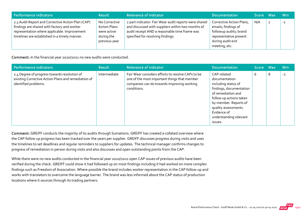| Performance indicators                                                                                                                                                                            | <b>Result</b>                                                                      | <b>Relevance of Indicator</b>                                                                                                                                                                    | <b>Documentation</b>                                                                                                                      | Score Max | <b>Min</b> |
|---------------------------------------------------------------------------------------------------------------------------------------------------------------------------------------------------|------------------------------------------------------------------------------------|--------------------------------------------------------------------------------------------------------------------------------------------------------------------------------------------------|-------------------------------------------------------------------------------------------------------------------------------------------|-----------|------------|
| 2.3 Audit Report and Corrective Action Plan (CAP)<br>findings are shared with factory and worker<br>representation where applicable. Improvement<br>timelines are established in a timely manner. | No Corrective<br><b>Action Plans</b><br>were active<br>during the<br>previous year | 2 part indicator: Fair Wear audit reports were shared<br>and discussed with suppliers within two months of<br>audit receipt AND a reasonable time frame was<br>specified for resolving findings. | Corrective Action Plans,<br>emails; findings of<br>followup audits; brand<br>representative present<br>during audit exit<br>meeting, etc. | N/A       | $-1$       |

Comment: In the financial year 2020/2021 no new audits were conducted.

| <b>Performance indicators</b>                                                                                               | <b>Result</b> | <b>Relevance of Indicator</b>                                                                                                                                  | <b>Documentation</b>                                                                                                                                                                                                                 | <b>Score</b> | <b>Max</b> | <b>Min</b> |
|-----------------------------------------------------------------------------------------------------------------------------|---------------|----------------------------------------------------------------------------------------------------------------------------------------------------------------|--------------------------------------------------------------------------------------------------------------------------------------------------------------------------------------------------------------------------------------|--------------|------------|------------|
| 2.4 Degree of progress towards resolution of<br>existing Corrective Action Plans and remediation of<br>identified problems. | Intermediate  | Fair Wear considers efforts to resolve CAPs to be<br>one of the most important things that member<br>companies can do towards improving working<br>conditions. | CAP-related<br>documentation<br>including status of<br>findings, documentation<br>of remediation and<br>follow up actions taken<br>by member. Reports of<br>quality assessments.<br>Evidence of<br>understanding relevant<br>issues. | 6            | 8          | $-2$       |

Comment: GREIFF conducts the majority of its audits through Sumations. GREIFF has created a collated overview where the CAP follow up progress has been tracked over the years per supplier. GREIFF discusses progress during visits and uses the timelines to set deadlines and regular reminders to suppliers for updates. The technical manager confirms changes to progress of remediation in person during visits and also discusses and open outstanding points from the CAP.

While there were no new audits conducted in the financial year 2020/2021 open CAP issues of previous audits have been verified during the check. GREIFF could show it had followed up on most findings including it had worked on more complex findings such as Freedom of Association. Where possible the brand includes worker representation in the CAP follow‐up and works with translators to overcome the language barrier. The brand was less informed about the CAP status of production locations where it sources through its trading partners.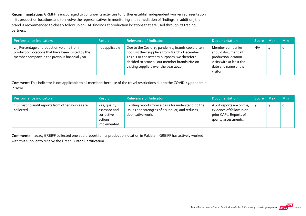Recommendation: GREIFF is encouraged to continue its activities to further establish independent worker representation in its production locations and to involve the representatives in monitoring and remediation of findings. In addition, the brand is recommended to closely follow up on CAP findings at production locations that are used through its trading partners.

| Performance indicators                                                                                                                           | Result         | <b>Relevance of Indicator</b>                                                                                                                                                                                                                  | <b>Documentation</b>                                                                                                           | Score Max | <b>Min</b> |
|--------------------------------------------------------------------------------------------------------------------------------------------------|----------------|------------------------------------------------------------------------------------------------------------------------------------------------------------------------------------------------------------------------------------------------|--------------------------------------------------------------------------------------------------------------------------------|-----------|------------|
| 2.5 Percentage of production volume from<br>production locations that have been visited by the<br>member company in the previous financial year. | not applicable | Due to the Covid-19 pandemic, brands could often<br>not visit their suppliers from March - December<br>2020. For consistency purposes, we therefore<br>decided to score all our member brands N/A on<br>visiting suppliers over the year 2020. | Member companies<br>should document all<br>production location<br>visits with at least the<br>date and name of the<br>visitor. | N/A       | $\circ$    |

Comment: This indicator is not applicable to all members because of the travel restrictions due to the COVID‐19 pandemic in 2020.

| Performance indicators                                          | <b>Result</b>                                                        | <b>Relevance of Indicator</b>                                                                                               | <b>Documentation</b>                                                                                    | Score Max | <b>Min</b> |
|-----------------------------------------------------------------|----------------------------------------------------------------------|-----------------------------------------------------------------------------------------------------------------------------|---------------------------------------------------------------------------------------------------------|-----------|------------|
| 2.6 Existing audit reports from other sources are<br>collected. | Yes, quality<br>assessed and<br>corrective<br>actions<br>implemented | Existing reports form a basis for understanding the<br>issues and strengths of a supplier, and reduces<br>duplicative work. | Audit reports are on file;<br>evidence of followup on<br>prior CAPs. Reports of<br>quality assessments. |           |            |

Comment: In 2020, GREIFF collected one audit report for its production location in Pakistan. GREIFF has actively worked with this supplier to receive the Green Button Certification.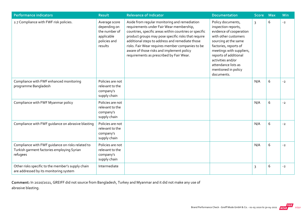| <b>Performance indicators</b>                                                                              | <b>Result</b>                                                                           | <b>Relevance of Indicator</b>                                                                                                                                                                                                                                                                                                                                                                              | <b>Documentation</b>                                                                                                                                                                                                                                                               | <b>Score</b>   | <b>Max</b> | Min  |
|------------------------------------------------------------------------------------------------------------|-----------------------------------------------------------------------------------------|------------------------------------------------------------------------------------------------------------------------------------------------------------------------------------------------------------------------------------------------------------------------------------------------------------------------------------------------------------------------------------------------------------|------------------------------------------------------------------------------------------------------------------------------------------------------------------------------------------------------------------------------------------------------------------------------------|----------------|------------|------|
| 2.7 Compliance with FWF risk policies.                                                                     | Average score<br>depending on<br>the number of<br>applicable<br>policies and<br>results | Aside from regular monitoring and remediation<br>requirements under Fair Wear membership,<br>countries, specific areas within countries or specific<br>product groups may pose specific risks that require<br>additional steps to address and remediate those<br>risks. Fair Wear requires member companies to be<br>aware of those risks and implement policy<br>requirements as prescribed by Fair Wear. | Policy documents,<br>inspection reports,<br>evidence of cooperation<br>with other customers<br>sourcing at the same<br>factories, reports of<br>meetings with suppliers,<br>reports of additional<br>activities and/or<br>attendance lists as<br>mentioned in policy<br>documents. | $\overline{3}$ | 6          | $-2$ |
| Compliance with FWF enhanced monitoring<br>programme Bangladesh                                            | Policies are not<br>relevant to the<br>company's<br>supply chain                        |                                                                                                                                                                                                                                                                                                                                                                                                            |                                                                                                                                                                                                                                                                                    | N/A            | 6          | $-2$ |
| Compliance with FWF Myanmar policy                                                                         | Policies are not<br>relevant to the<br>company's<br>supply chain                        |                                                                                                                                                                                                                                                                                                                                                                                                            |                                                                                                                                                                                                                                                                                    | N/A            | 6          | $-2$ |
| Compliance with FWF guidance on abrasive blasting                                                          | Policies are not<br>relevant to the<br>company's<br>supply chain                        |                                                                                                                                                                                                                                                                                                                                                                                                            |                                                                                                                                                                                                                                                                                    | N/A            | $\,$ 6     | $-2$ |
| Compliance with FWF quidance on risks related to<br>Turkish garment factories employing Syrian<br>refugees | Policies are not<br>relevant to the<br>company's<br>supply chain                        |                                                                                                                                                                                                                                                                                                                                                                                                            |                                                                                                                                                                                                                                                                                    | N/A            | 6          | $-2$ |
| Other risks specific to the member's supply chain<br>are addressed by its monitoring system                | Intermediate                                                                            |                                                                                                                                                                                                                                                                                                                                                                                                            |                                                                                                                                                                                                                                                                                    | 3              | 6          | $-2$ |

Comment: In 2020/2021, GREIFF did not source from Bangladesh, Turkey and Myanmar and it did not make any use of abrasive blasting.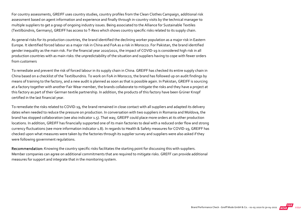For country assessments, GREIFF uses country studies, country profiles from the Clean Clothes Campaign, additional risk assessment based on agent information and experience and finally through in-country visits by the technical manager to multiple suppliers to get a grasp of ongoing industry issues. Being associated to the Alliance for Sustainable Textiles (Textilbündnis, Germany), GREIFF has access to T‐Rexs which shows country specific risks related to its supply chain.

As general risks for its production countries, the brand identified the declining worker population as a major risk in Eastern Europe. It identified forced labour as a major risk in China and FoA as a risk in Morocco. For Pakistan, the brand identified gender inequality as the main risk. For the financial year 2020/2021, the impact of COVID‐19 is considered high risk in all production countries with as main risks: the unpredictability of the situation and suppliers having to cope with fewer orders from customers

To remediate and prevent the risk of forced labour in its supply chain in China. GREIFF has checked its entire supply chain in China based on a checklist of the Textilbundnis. To work on FoA in Morocco, the brand has followed up on audit findings by means of training to the factory, and a new audit is planned as soon as that is possible again. In Pakistan, GREIFF is sourcing at a factory together with another Fair Wear member, the brands collaborate to mitigate the risks and they have a project at this factory as part of their German textile partnership. In addition, the products of this factory have been Grüner Knopf certified in the last financial year.

To remediate the risks related to COVID‐19, the brand remained in close contact with all suppliers and adapted its delivery dates when needed to reduce the pressure on production. In conversation with two suppliers in Romania and Moldova, the brand has stopped collaboration (see also indicator 1.5). That way, GREIFF could place more orders at its other production locations. In addition, GREIFF has financially supported one of its main factories to deal with a reduced order flow and strong currency fluctuations (see more information indicator 1.8). In regards to Health & Safety measures for COVID‐19, GREIFF has checked upon what measures were taken by the factories through its supplier survey and suppliers were also asked if they were following government regulations.

Recommendation: Knowing the country specific risks facilitates the starting point for discussing this with suppliers. Member companies can agree on additional commitments that are required to mitigate risks. GREFF can provide additional measures for support and integrate that in the monitoring system.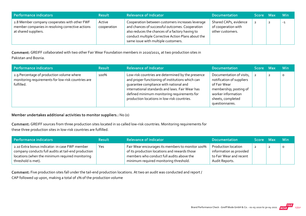| Performance indicators                                                                                                   | <b>Result</b>         | <b>Relevance of Indicator</b>                                                                                                                                                                                                                       | <b>Documentation</b>                                             | Score Max | <b>Min</b> |
|--------------------------------------------------------------------------------------------------------------------------|-----------------------|-----------------------------------------------------------------------------------------------------------------------------------------------------------------------------------------------------------------------------------------------------|------------------------------------------------------------------|-----------|------------|
| 2.8 Member company cooperates with other FWF<br>member companies in resolving corrective actions<br>at shared suppliers. | Active<br>cooperation | Cooperation between customers increases leverage<br>and chances of successful outcomes. Cooperation<br>also reduces the chances of a factory having to<br>conduct multiple Corrective Action Plans about the<br>same issue with multiple customers. | Shared CAPs, evidence<br>of cooperation with<br>other customers. |           | $-1$       |

Comment: GREIFF collaborated with two other Fair Wear Foundation members in 2020/2021, at two production sites in Pakistan and Bosnia.

| Performance indicators                                                                                        | <b>Result</b> | <b>Relevance of Indicator</b>                                                                                                                                                                                                                                                                    | <b>Documentation</b>                                                                                                                                          | Score Max | <b>Min</b> |
|---------------------------------------------------------------------------------------------------------------|---------------|--------------------------------------------------------------------------------------------------------------------------------------------------------------------------------------------------------------------------------------------------------------------------------------------------|---------------------------------------------------------------------------------------------------------------------------------------------------------------|-----------|------------|
| 2.9 Percentage of production volume where<br>monitoring requirements for low-risk countries are<br>fulfilled. | 100%          | Low-risk countries are determined by the presence<br>and proper functioning of institutions which can<br>quarantee compliance with national and<br>international standards and laws. Fair Wear has<br>defined minimum monitoring requirements for<br>production locations in low-risk countries. | Documentation of visits,<br>notification of suppliers<br>of Fair Wear<br>membership; posting of<br>worker information<br>sheets, completed<br>questionnaires. |           | $\circ$    |

#### Member undertakes additional activities to monitor suppliers.: No (0)

Comment: GREIFF sources from three production sites located in so called low‐risk countries. Monitoring requirements for these three production sites in low‐risk countries are fulfilled.

| Performance indicators                                                                                                                                                         | <b>Result</b> | <b>Relevance of Indicator</b>                                                                                                                                                            | <b>Documentation</b>                                                                        | Score Max | <b>Min</b> |
|--------------------------------------------------------------------------------------------------------------------------------------------------------------------------------|---------------|------------------------------------------------------------------------------------------------------------------------------------------------------------------------------------------|---------------------------------------------------------------------------------------------|-----------|------------|
| 2.10 Extra bonus indicator: in case FWF member<br>company conducts full audits at tail-end production<br>locations (when the minimum required monitoring<br>threshold is met). | Yes           | Fair Wear encourages its members to monitor 100%<br>of its production locations and rewards those<br>members who conduct full audits above the<br>minimum required monitoring threshold. | Production location<br>information as provided<br>to Fair Wear and recent<br>Audit Reports. |           | $\circ$    |

Comment: Five production sites fall under the tail-end production locations. At two an audit was conducted and report / CAP followed up upon, making a total of 1% of the production volume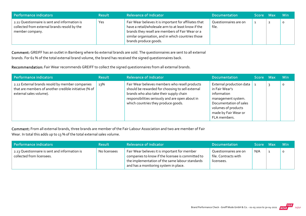| Performance indicators                                                                                           | <b>Result</b> | <b>Relevance of Indicator</b>                                                                                                                                                                                                                    | <b>Documentation</b>           | Score Max | <b>Min</b> |
|------------------------------------------------------------------------------------------------------------------|---------------|--------------------------------------------------------------------------------------------------------------------------------------------------------------------------------------------------------------------------------------------------|--------------------------------|-----------|------------|
| 2.11 Questionnaire is sent and information is<br>collected from external brands resold by the<br>member company. | Yes           | Fair Wear believes it is important for affiliates that<br>have a retail/wholesale arm to at least know if the<br>brands they resell are members of Fair Wear or a<br>similar organisation, and in which countries those<br>brands produce goods. | Questionnaires are on<br>file. |           |            |

Comment: GREIFF has an outlet in Bamberg where 60 external brands are sold. The questionnaires are sent to all external brands. For 61 % of the total external brand volume, the brand has received the signed questionnaires back.

Recommendation: Fair Wear recommends GREIFF to collect the signed questionnaires from all external brands.

| Performance indicators                                                                                                              | <b>Result</b> | <b>Relevance of Indicator</b>                                                                                                                                                                                                            | <b>Documentation</b>                                                                                                                                                     | ا Score Max | <b>Min</b> |
|-------------------------------------------------------------------------------------------------------------------------------------|---------------|------------------------------------------------------------------------------------------------------------------------------------------------------------------------------------------------------------------------------------------|--------------------------------------------------------------------------------------------------------------------------------------------------------------------------|-------------|------------|
| 2.12 External brands resold by member companies<br>that are members of another credible initiative (% of<br>external sales volume). | 13%           | Fair Wear believes members who resell products<br>should be rewarded for choosing to sell external<br>brands who also take their supply chain<br>responsibilities seriously and are open about in<br>which countries they produce goods. | External production data<br>in Fair Wear's<br>information<br>management system.<br>Documentation of sales<br>volumes of products<br>made by Fair Wear or<br>FLA members. |             | $\Omega$   |

Comment: From all external brands, three brands are member of the Fair Labour Association and two are member of Fair Wear. In total this adds up to 13 % of the total external sales volume.

| Performance indicators                                                     | <b>Result</b> | <b>Relevance of Indicator</b>                                                                                                                                                                  | <b>Documentation</b>                                        | Score Max | ⊟ Min |
|----------------------------------------------------------------------------|---------------|------------------------------------------------------------------------------------------------------------------------------------------------------------------------------------------------|-------------------------------------------------------------|-----------|-------|
| 2.13 Questionnaire is sent and information is<br>collected from licensees. | No licensees  | Fair Wear believes it is important for member<br>companies to know if the licensee is committed to<br>the implementation of the same labour standards<br>and has a monitoring system in place. | Questionnaires are on<br>file. Contracts with<br>licensees. | N/A       | 0     |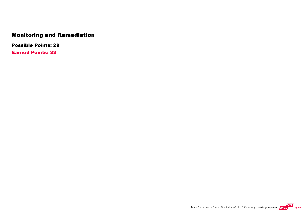## Monitoring and Remediation

Possible Points: 29

Earned Points: 22

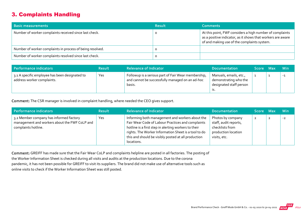#### 3. Complaints Handling

| <b>Basic measurements</b>                                 | <b>Result</b> | <b>Comments</b>                                                                                                                                                        |
|-----------------------------------------------------------|---------------|------------------------------------------------------------------------------------------------------------------------------------------------------------------------|
| Number of worker complaints received since last check.    |               | At this point, FWF considers a high number of complaints<br>as a positive indicator, as it shows that workers are aware<br>of and making use of the complaints system. |
| Number of worker complaints in process of being resolved. |               |                                                                                                                                                                        |
| Number of worker complaints resolved since last check.    |               |                                                                                                                                                                        |

| Performance indicators                                                       | <b>Result</b> | <b>Relevance of Indicator</b>                                                                                    | <b>Documentation</b>                                                       | Score Max | <b>Min</b> |
|------------------------------------------------------------------------------|---------------|------------------------------------------------------------------------------------------------------------------|----------------------------------------------------------------------------|-----------|------------|
| 3.1 A specific employee has been designated to<br>address worker complaints. | Yes           | Followup is a serious part of Fair Wear membership,<br>and cannot be successfully managed on an ad-hoc<br>basis. | Manuals, emails, etc.,<br>demonstrating who the<br>designated staff person |           | $-1$       |

Comment: The CSR manager is involved in complaint handling, where needed the CEO gives support.

| Performance indicators                                                                                          | <b>Result</b> | <b>Relevance of Indicator</b>                                                                                                                                                                                                                                                             | <b>Documentation</b>                                                                                 | Score Max    | <b>Min</b> |
|-----------------------------------------------------------------------------------------------------------------|---------------|-------------------------------------------------------------------------------------------------------------------------------------------------------------------------------------------------------------------------------------------------------------------------------------------|------------------------------------------------------------------------------------------------------|--------------|------------|
| 3.2 Member company has informed factory<br>management and workers about the FWF CoLP and<br>complaints hotline. | Yes           | Informing both management and workers about the<br>Fair Wear Code of Labour Practices and complaints<br>hotline is a first step in alerting workers to their<br>rights. The Worker Information Sheet is a tool to do<br>this and should be visibly posted at all production<br>locations. | Photos by company<br>staff, audit reports,<br>checklists from<br>production location<br>visits, etc. | $\mathbf{2}$ | $-2$       |

Comment: GREIFF has made sure that the Fair Wear CoLP and complaints helpline are posted in all factories. The posting of the Worker Information Sheet is checked during all visits and audits at the production locations. Due to the corona pandemic, it has not been possible for GREIFF to visit its suppliers. The brand did not make use of alternative tools such as online visits to check if the Worker Information Sheet was still posted.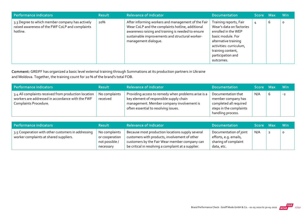| Performance indicators                                                                                         | <b>Result</b> | <b>Relevance of Indicator</b>                                                                                                                                                                                                           | <b>Documentation</b>                                                                                                                                                                                     | <b>Score</b> | <b>Max</b> | <b>Min</b> |
|----------------------------------------------------------------------------------------------------------------|---------------|-----------------------------------------------------------------------------------------------------------------------------------------------------------------------------------------------------------------------------------------|----------------------------------------------------------------------------------------------------------------------------------------------------------------------------------------------------------|--------------|------------|------------|
| 3.3 Degree to which member company has actively<br>raised awareness of the FWF CoLP and complaints<br>hotline. | 20%           | After informing workers and management of the Fair<br>Wear CoLP and the complaints hotline, additional<br>awareness raising and training is needed to ensure<br>sustainable improvements and structural worker-<br>management dialogue. | Training reports, Fair<br>Wear's data on factories<br>enrolled in the WEP<br>basic module. For<br>alternative training<br>activities: curriculum,<br>training content,<br>participation and<br>outcomes. | 4            | ь          | 0          |

Comment: GREIFF has organized a basic level external training through Summations at its production partners in Ukraine and Moldova. Together, the training count for 20 % of the brand's total FOB.

| Performance indicators                                                                                                            | <b>Result</b>             | <b>Relevance of Indicator</b>                                                                                                                                                       | <b>Documentation</b>                                                                                               | Score Max | <b>Min</b> |
|-----------------------------------------------------------------------------------------------------------------------------------|---------------------------|-------------------------------------------------------------------------------------------------------------------------------------------------------------------------------------|--------------------------------------------------------------------------------------------------------------------|-----------|------------|
| 3.4 All complaints received from production location<br>workers are addressed in accordance with the FWF<br>Complaints Procedure. | No complaints<br>received | Providing access to remedy when problems arise is a<br>key element of responsible supply chain<br>management. Member company involvement is<br>often essential to resolving issues. | Documentation that<br>member company has<br>completed all required<br>steps in the complaints<br>handling process. | N/A       | $-2$       |

| Performance indicators                                                                       | <b>Result</b>                                                  | <b>Relevance of Indicator</b>                                                                                                                                                                             | <b>Documentation</b>                                                                  | Score Max | <b>Min</b> |
|----------------------------------------------------------------------------------------------|----------------------------------------------------------------|-----------------------------------------------------------------------------------------------------------------------------------------------------------------------------------------------------------|---------------------------------------------------------------------------------------|-----------|------------|
| 3.5 Cooperation with other customers in addressing<br>worker complaints at shared suppliers. | No complaints<br>or cooperation<br>not possible /<br>necessary | Because most production locations supply several<br>customers with products, involvement of other<br>customers by the Fair Wear member company can<br>be critical in resolving a complaint at a supplier. | Documentation of joint<br>efforts, e.g. emails,<br>sharing of complaint<br>data, etc. | N/A       | $\circ$    |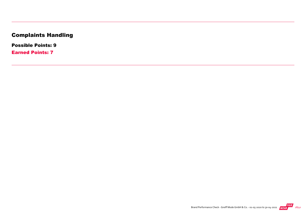## Complaints Handling

Possible Points: 9

Earned Points: 7

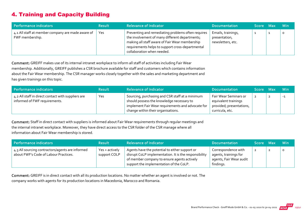#### 4. Training and Capacity Building

| Performance indicators                                               | <b>Result</b> | <b>Relevance of Indicator</b>                                                                                                                                                                                                            | <b>Documentation</b>                                     | Score Max | <b>Min</b> |
|----------------------------------------------------------------------|---------------|------------------------------------------------------------------------------------------------------------------------------------------------------------------------------------------------------------------------------------------|----------------------------------------------------------|-----------|------------|
| 4.1 All staff at member company are made aware of<br>FWF membership. | <b>Yes</b>    | Preventing and remediating problems often requires<br>the involvement of many different departments;<br>making all staff aware of Fair Wear membership<br>requirements helps to support cross-departmental<br>collaboration when needed. | Emails, trainings,<br>presentation,<br>newsletters, etc. |           | O          |

Comment: GREIFF makes use of its internal intranet workplace to inform all staff of activities including Fair Wear membership. Additionally, GREIFF publishes a CSR brochure available for staff and customers which contains information about the Fair Wear membership. The CSR manager works closely together with the sales and marketing department and has given trainings on this topic.

| Performance indicators                                                              | <b>Result</b> | <b>Relevance of Indicator</b>                                                                                                                     | <b>Documentation</b>                                                      | Score Max | <b>Min</b> |
|-------------------------------------------------------------------------------------|---------------|---------------------------------------------------------------------------------------------------------------------------------------------------|---------------------------------------------------------------------------|-----------|------------|
| 4.2 All staff in direct contact with suppliers are<br>informed of FWF requirements. | Yes           | Sourcing, purchasing and CSR staff at a minimum<br>should possess the knowledge necessary to<br>implement Fair Wear requirements and advocate for | Fair Wear Seminars or<br>equivalent trainings<br>provided; presentations, | 2         | $-1$       |
|                                                                                     |               | change within their organisations.                                                                                                                | curricula, etc.                                                           |           |            |

Comment: Staff in direct contact with suppliers is informed about Fair Wear requirements through regular meetings and the internal intranet workplace. Moreover, they have direct access to the CSR folder of the CSR manage where all information about Fair Wear membership is stored.

| Performance indicators                                                                    | <b>Result</b>                  | <b>Relevance of Indicator</b>                                                                                                                                                                     | <b>Documentation</b>                                                                 | Score Max | - Min   |
|-------------------------------------------------------------------------------------------|--------------------------------|---------------------------------------------------------------------------------------------------------------------------------------------------------------------------------------------------|--------------------------------------------------------------------------------------|-----------|---------|
| 4.3 All sourcing contractors/agents are informed<br>about FWF's Code of Labour Practices. | Yes + actively<br>support COLP | Agents have the potential to either support or<br>disrupt CoLP implementation. It is the responsibility<br>of member company to ensure agents actively<br>support the implementation of the CoLP. | Correspondence with<br>agents, trainings for<br>agents, Fair Wear audit<br>findings. | 2         | $\circ$ |

Comment: GREIFF is in direct contact with all its production locations. No matter whether an agent is involved or not. The company works with agents for its production locations in Macedonia, Marocco and Romania.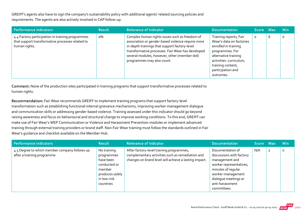GREIFF's agents also have to sign the company's sustainability policy with additional agents' related sourcing policies and requirements. The agents are also actively involved in CAP follow‐up.

| Performance indicators                                                                                                | <b>Result</b> | <b>Relevance of Indicator</b>                                                                                                                                                                                                                                                           | <b>Documentation</b>                                                                                                                                                                                    | <b>Score</b> | Max | <b>Min</b> |
|-----------------------------------------------------------------------------------------------------------------------|---------------|-----------------------------------------------------------------------------------------------------------------------------------------------------------------------------------------------------------------------------------------------------------------------------------------|---------------------------------------------------------------------------------------------------------------------------------------------------------------------------------------------------------|--------------|-----|------------|
| 4.4 Factory participation in training programmes<br>that support transformative processes related to<br>human rights. | о%            | Complex human rights issues such as freedom of<br>association or gender-based violence require more<br>in-depth trainings that support factory-level<br>transformative processes. Fair Wear has developed<br>several modules, however, other (member-led)<br>programmes may also count. | Training reports, Fair<br>Wear's data on factories<br>enrolled in training<br>programmes. For<br>alternative training<br>activities: curriculum,<br>training content,<br>participation and<br>outcomes. | $\circ$      | 6   | $\circ$    |

Comment: None of the production sites participated in training programs that support transformative processes related to human rights.

Recommendation: Fair Wear recommends GREIFF to implement training programs that support factory‐level transformation such as establishing functional internal grievance mechanisms, improving worker‐management dialogue and communication skills or addressing gender-based violence. Training assessed under this indicator should go beyond raising awareness and focus on behavioural and structural change to improve working conditions. To this end, GREIFF can make use of Fair Wear's WEP Communication or Violence and Harassment Prevention modules or implement advanced training through external training providers or brand staff. Non‐Fair Wear training must follow the standards outlined in Fair Wear's guidance and checklist available on the Member Hub.

| Performance indicators                                                       | <b>Result</b>                                                                                                   | <b>Relevance of Indicator</b>                                                                                                                         | <b>Documentation</b>                                                                                                                                                                           | <b>Score</b> | <b>Max</b>     | <b>Min</b> |
|------------------------------------------------------------------------------|-----------------------------------------------------------------------------------------------------------------|-------------------------------------------------------------------------------------------------------------------------------------------------------|------------------------------------------------------------------------------------------------------------------------------------------------------------------------------------------------|--------------|----------------|------------|
| 4.5 Degree to which member company follows up<br>after a training programme. | No training<br>programmes<br>have been<br>conducted or<br>member<br>produces solely<br>in low-risk<br>countries | After factory-level training programmes,<br>complementary activities such as remediation and<br>changes on brand level will achieve a lasting impact. | Documentation of<br>discussions with factory<br>management and<br>worker representatives,<br>minutes of regular<br>worker-management<br>dialogue meetings or<br>anti-harassment<br>committees. | N/A          | $\overline{2}$ | $\circ$    |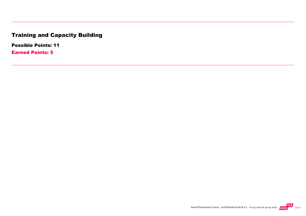## Training and Capacity Building

Possible Points: 11

Earned Points: 5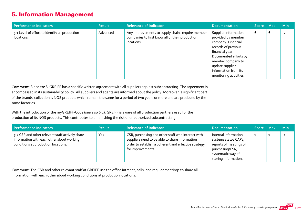#### 5. Information Management

| Performance indicators                                       | <b>Result</b> | <b>Relevance of Indicator</b>                                                                                     | <b>Documentation</b>                                                                                                                                                                                                          | Score Max |   | <b>Min</b> |
|--------------------------------------------------------------|---------------|-------------------------------------------------------------------------------------------------------------------|-------------------------------------------------------------------------------------------------------------------------------------------------------------------------------------------------------------------------------|-----------|---|------------|
| 5.1 Level of effort to identify all production<br>locations. | Advanced      | Any improvements to supply chains require member<br>companies to first know all of their production<br>locations. | Supplier information<br>provided by member<br>company. Financial<br>records of previous<br>financial year.<br>Documented efforts by<br>member company to<br>update supplier<br>information from its<br>monitoring activities. | 6         | 6 | $-2$       |

Comment: Since 2018, GREIFF has a specific written agreement with all suppliers against subcontracting. The agreement is encompassed in its sustainability policy. All suppliers and agents are informed about the policy. Moreover, a significant part of the brands' collection is NOS products which remain the same for a period of two years or more and are produced by the same factories.

With the introduction of the myGREIFF-Code (see also 6.2), GREIFF is aware of all production partners used for the production of its NOS products. This contributes to diminishing the risk of unauthorized subcontracting.

| Performance indicators                                                                                                              | <b>Result</b> | <b>Relevance of Indicator</b>                                                                                                                                                       | <b>Documentation</b>                                                                                                                   | Score Max | <b>Min</b> |
|-------------------------------------------------------------------------------------------------------------------------------------|---------------|-------------------------------------------------------------------------------------------------------------------------------------------------------------------------------------|----------------------------------------------------------------------------------------------------------------------------------------|-----------|------------|
| 5.2 CSR and other relevant staff actively share<br>information with each other about working<br>conditions at production locations. | Yes           | CSR, purchasing and other staff who interact with<br>suppliers need to be able to share information in<br>order to establish a coherent and effective strategy<br>for improvements. | Internal information<br>system; status CAPs,<br>reports of meetings of<br>purchasing/CSR;<br>systematic way of<br>storing information. |           | $-1$       |

Comment: The CSR and other relevant staff at GREIFF use the office intranet, calls, and regular meetings to share all information with each other about working conditions at production locations.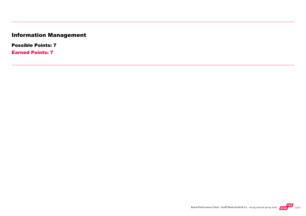## Information Management

Possible Points: 7

Earned Points: 7

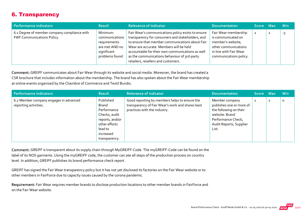#### 6. Transparency

| Performance indicators                                                            | <b>Result</b>                                                                                | <b>Relevance of Indicator</b>                                                                                                                                                                                                                                                                                                                   | <b>Documentation</b>                                                                                                                        | Score Max      | <b>Min</b> |
|-----------------------------------------------------------------------------------|----------------------------------------------------------------------------------------------|-------------------------------------------------------------------------------------------------------------------------------------------------------------------------------------------------------------------------------------------------------------------------------------------------------------------------------------------------|---------------------------------------------------------------------------------------------------------------------------------------------|----------------|------------|
| 6.1 Degree of member company compliance with<br><b>FWF Communications Policy.</b> | Minimum<br>communications<br>requirements<br>are met AND no<br>significant<br>problems found | Fair Wear's communications policy exists to ensure<br>transparency for consumers and stakeholders, and<br>to ensure that member communications about Fair<br>Wear are accurate. Members will be held<br>accountable for their own communications as well<br>as the communications behaviour of 3rd-party<br>retailers, resellers and customers. | Fair Wear membership<br>is communicated on<br>member's website;<br>other communications<br>in line with Fair Wear<br>communications policy. | $\overline{2}$ | -3         |

Comment: GREIFF communicates about Fair Wear through its website and social media. Moreover, the brand has created a CSR brochure that includes information about the membership. The brand has also spoken about the Fair Wear membership at online events organized by the Chambre of Commerce and Textil Bundis.

| Performance indicators                                          | <b>Result</b>                                                                                                                   | <b>Relevance of Indicator</b>                                                                                                     | <b>Documentation</b>                                                                                                                             | Score Max |                | <b>Min</b> |
|-----------------------------------------------------------------|---------------------------------------------------------------------------------------------------------------------------------|-----------------------------------------------------------------------------------------------------------------------------------|--------------------------------------------------------------------------------------------------------------------------------------------------|-----------|----------------|------------|
| 6.2 Member company engages in advanced<br>reporting activities. | Published<br>Brand<br>Performance<br>Checks, audit<br>reports, and/or<br>other efforts<br>lead to<br>increased<br>transparency. | Good reporting by members helps to ensure the<br>transparency of Fair Wear's work and shares best<br>practices with the industry. | Member company<br>publishes one or more of<br>the following on their<br>website: Brand<br>Performance Check,<br>Audit Reports, Supplier<br>List. | ᆚ         | $\overline{2}$ | 0          |

Comment: GREIFF is transparent about its supply chain through MyGREIFF‐Code. The myGREIFF‐Code can be found on the label of its NOS garments. Using the myGREIFF code, the customer can see all steps of the production process on country level. In addition, GREIFF publishes its brand performance check report.

GREIFF has signed the Fair Wear transparency policy but it has not yet disclosed its factories on the Fair Wear website or to other members in FairForce due to capacity issues caused by the corona pandemic.

Requirement: Fair Wear requires member brands to disclose production locations to other member brands in FairForce and on the Fair Wear website.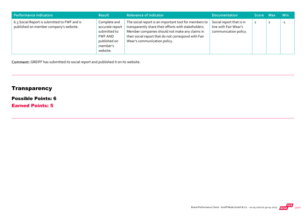| Performance indicators                                                                 | <b>Result</b>                                                                                      | <b>Relevance of Indicator</b>                                                                                                                                                                                                                           | <b>Documentation</b>                                                       | Score Max      | <b>Min</b> |
|----------------------------------------------------------------------------------------|----------------------------------------------------------------------------------------------------|---------------------------------------------------------------------------------------------------------------------------------------------------------------------------------------------------------------------------------------------------------|----------------------------------------------------------------------------|----------------|------------|
| 6.3 Social Report is submitted to FWF and is<br>published on member company's website. | Complete and<br>accurate report<br>submitted to<br>FWF AND<br>published on<br>member's<br>website. | The social report is an important tool for members to<br>transparently share their efforts with stakeholders.<br>Member companies should not make any claims in<br>their social report that do not correspond with Fair<br>Wear's communication policy. | Social report that is in<br>line with Fair Wear's<br>communication policy. | $\overline{2}$ | $-1$       |

Comment: GREIFF has submitted its social report and published it on its website.

## **Transparency**

#### Possible Points: 6

Earned Points: 5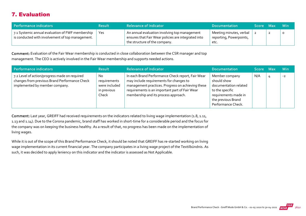#### 7. Evaluation

| Performance indicators                                                                               | <b>Result</b> | <b>Relevance of Indicator</b>                                                                                                         | <b>Documentation</b>                                       | Score Max |   | – Min |
|------------------------------------------------------------------------------------------------------|---------------|---------------------------------------------------------------------------------------------------------------------------------------|------------------------------------------------------------|-----------|---|-------|
| 7.1 Systemic annual evaluation of FWF membership<br>is conducted with involvement of top management. | Yes           | An annual evaluation involving top management<br>ensures that Fair Wear policies are integrated into<br>the structure of the company. | Meeting minutes, verbal<br>reporting, Powerpoints,<br>etc. |           | ▴ |       |

Comment: Evaluation of the Fair Wear membership is conducted in close collaboration between the CSR manager and top management. The CEO is actively involved in the Fair Wear membership and supports needed actions.

| Performance indicators                                                                                                           | <b>Result</b>                                                | <b>Relevance of Indicator</b>                                                                                                                                                                                                               | <b>Documentation</b>                                                                                                                          | Score Max | <b>Min</b> |
|----------------------------------------------------------------------------------------------------------------------------------|--------------------------------------------------------------|---------------------------------------------------------------------------------------------------------------------------------------------------------------------------------------------------------------------------------------------|-----------------------------------------------------------------------------------------------------------------------------------------------|-----------|------------|
| 7.2 Level of action/progress made on required<br>changes from previous Brand Performance Check<br>implemented by member company. | No.<br>requirements<br>were included<br>in previous<br>Check | In each Brand Performance Check report, Fair Wear<br>may include requirements for changes to<br>management practices. Progress on achieving these<br>requirements is an important part of Fair Wear<br>membership and its process approach. | Member company<br>should show<br>documentation related<br>to the specific<br>requirements made in<br>the previous Brand<br>Performance Check. | N/A       | $-2$       |

Comment: Last year, GREIFF had received requirements on the indicators related to living wage implementation (1.8, 1.11, 1.13 and 1.14). Due to the Corona pandemic, brand staff has worked in short‐time for a considerable period and the focus for the company was on keeping the business healthy. As a result of that, no progress has been made on the implementation of living wages.

While it is out of the scope of this Brand Performance Check, it should be noted that GREIFF has re‐started working on living wage implementation in its current financial year. The company participates in a living wage project of the Textilbündnis. As such, it was decided to apply leniency on this indicator and the indicator is assessed as Not Applicable.

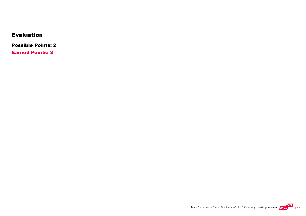#### Evaluation

Possible Points: 2

Earned Points: 2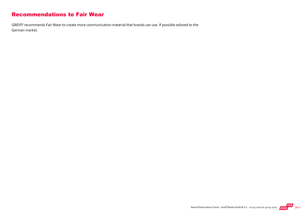#### Recommendations to Fair Wear

GREIFF recommends Fair Wear to create more communication material that brands can use. If possible tailored to the German market.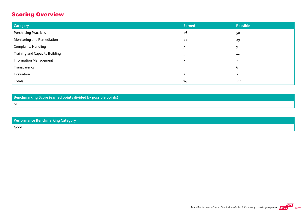#### Scoring Overview

| Category                              | Earned | Possible |
|---------------------------------------|--------|----------|
| <b>Purchasing Practices</b>           | 26     | 50       |
| Monitoring and Remediation            | 22     | 29       |
| <b>Complaints Handling</b>            |        | Q        |
| <b>Training and Capacity Building</b> |        | 11       |
| <b>Information Management</b>         |        |          |
| Transparency                          |        | b        |
| Evaluation                            |        |          |
| Totals:                               | 74     | 114      |

Benchmarking Score (earned points divided by possible points) 65

| <b>Performance Benchmarking Category</b> |
|------------------------------------------|
| Good                                     |